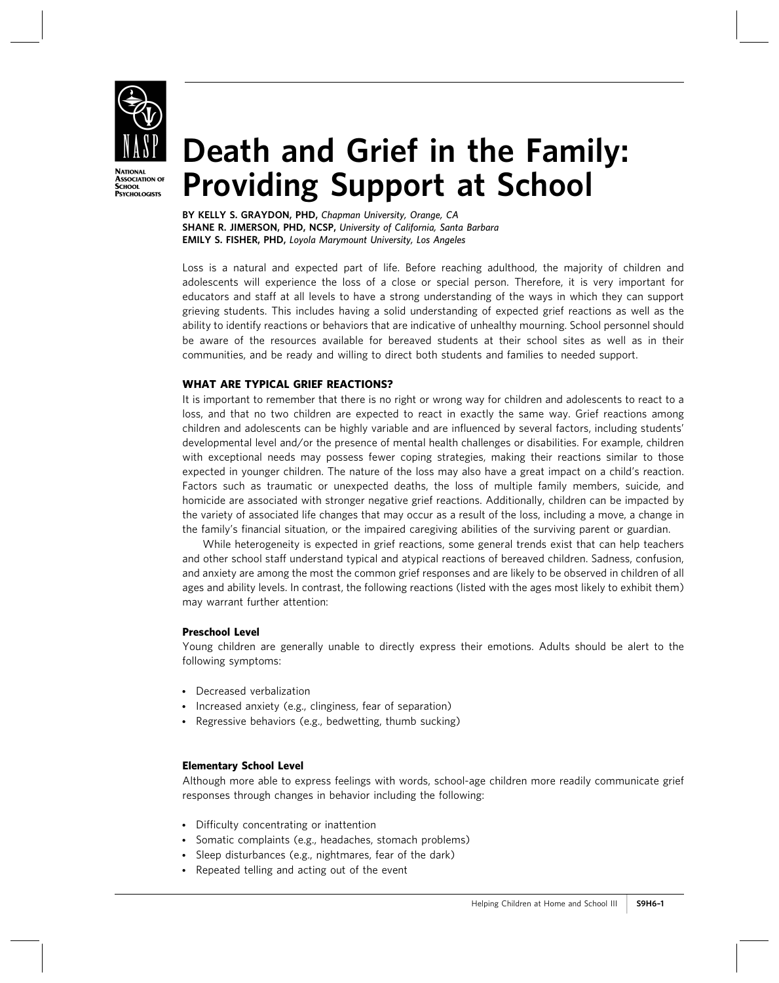

National ASSOCIATION OF **PSYCHOLOGISTS** 

# Death and Grief in the Family: Providing Support at School

BY KELLY S. GRAYDON, PHD, Chapman University, Orange, CA SHANE R. JIMERSON, PHD, NCSP, University of California, Santa Barbara EMILY S. FISHER, PHD, Loyola Marymount University, Los Angeles

Loss is a natural and expected part of life. Before reaching adulthood, the majority of children and adolescents will experience the loss of a close or special person. Therefore, it is very important for educators and staff at all levels to have a strong understanding of the ways in which they can support grieving students. This includes having a solid understanding of expected grief reactions as well as the ability to identify reactions or behaviors that are indicative of unhealthy mourning. School personnel should be aware of the resources available for bereaved students at their school sites as well as in their communities, and be ready and willing to direct both students and families to needed support.

## WHAT ARE TYPICAL GRIEF REACTIONS?

It is important to remember that there is no right or wrong way for children and adolescents to react to a loss, and that no two children are expected to react in exactly the same way. Grief reactions among children and adolescents can be highly variable and are influenced by several factors, including students' developmental level and/or the presence of mental health challenges or disabilities. For example, children with exceptional needs may possess fewer coping strategies, making their reactions similar to those expected in younger children. The nature of the loss may also have a great impact on a child's reaction. Factors such as traumatic or unexpected deaths, the loss of multiple family members, suicide, and homicide are associated with stronger negative grief reactions. Additionally, children can be impacted by the variety of associated life changes that may occur as a result of the loss, including a move, a change in the family's financial situation, or the impaired caregiving abilities of the surviving parent or guardian.

While heterogeneity is expected in grief reactions, some general trends exist that can help teachers and other school staff understand typical and atypical reactions of bereaved children. Sadness, confusion, and anxiety are among the most the common grief responses and are likely to be observed in children of all ages and ability levels. In contrast, the following reactions (listed with the ages most likely to exhibit them) may warrant further attention:

#### Preschool Level

Young children are generally unable to directly express their emotions. Adults should be alert to the following symptoms:

- Decreased verbalization
- Increased anxiety (e.g., clinginess, fear of separation)
- Regressive behaviors (e.g., bedwetting, thumb sucking)

#### Elementary School Level

Although more able to express feelings with words, school-age children more readily communicate grief responses through changes in behavior including the following:

- Difficulty concentrating or inattention
- Somatic complaints (e.g., headaches, stomach problems)
- Sleep disturbances (e.g., nightmares, fear of the dark)
- Repeated telling and acting out of the event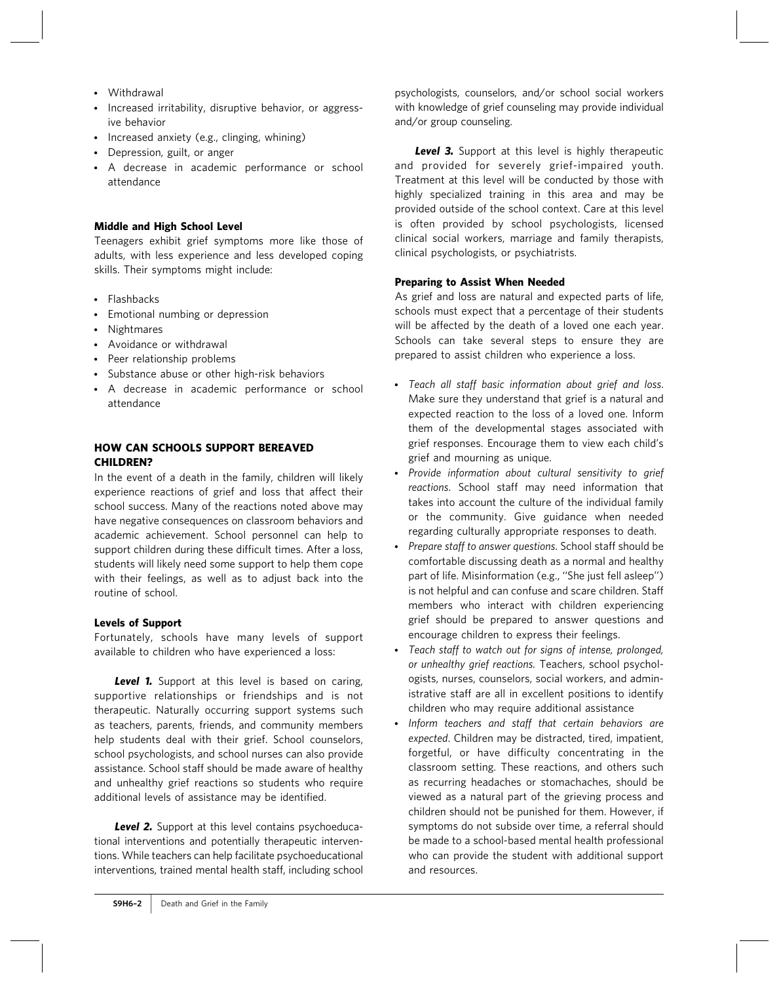- Withdrawal
- Increased irritability, disruptive behavior, or aggressive behavior
- Increased anxiety (e.g., clinging, whining)
- Depression, guilt, or anger
- A decrease in academic performance or school attendance

## Middle and High School Level

Teenagers exhibit grief symptoms more like those of adults, with less experience and less developed coping skills. Their symptoms might include:

- Flashbacks
- Emotional numbing or depression
- Nightmares
- Avoidance or withdrawal
- Peer relationship problems
- Substance abuse or other high-risk behaviors
- A decrease in academic performance or school attendance

## HOW CAN SCHOOLS SUPPORT BEREAVED CHILDREN?

In the event of a death in the family, children will likely experience reactions of grief and loss that affect their school success. Many of the reactions noted above may have negative consequences on classroom behaviors and academic achievement. School personnel can help to support children during these difficult times. After a loss, students will likely need some support to help them cope with their feelings, as well as to adjust back into the routine of school.

## Levels of Support

Fortunately, schools have many levels of support available to children who have experienced a loss:

Level 1. Support at this level is based on caring, supportive relationships or friendships and is not therapeutic. Naturally occurring support systems such as teachers, parents, friends, and community members help students deal with their grief. School counselors, school psychologists, and school nurses can also provide assistance. School staff should be made aware of healthy and unhealthy grief reactions so students who require additional levels of assistance may be identified.

Level 2. Support at this level contains psychoeducational interventions and potentially therapeutic interventions. While teachers can help facilitate psychoeducational interventions, trained mental health staff, including school

psychologists, counselors, and/or school social workers with knowledge of grief counseling may provide individual and/or group counseling.

Level 3. Support at this level is highly therapeutic and provided for severely grief-impaired youth. Treatment at this level will be conducted by those with highly specialized training in this area and may be provided outside of the school context. Care at this level is often provided by school psychologists, licensed clinical social workers, marriage and family therapists, clinical psychologists, or psychiatrists.

## Preparing to Assist When Needed

As grief and loss are natural and expected parts of life, schools must expect that a percentage of their students will be affected by the death of a loved one each year. Schools can take several steps to ensure they are prepared to assist children who experience a loss.

- Teach all staff basic information about grief and loss. Make sure they understand that grief is a natural and expected reaction to the loss of a loved one. Inform them of the developmental stages associated with grief responses. Encourage them to view each child's grief and mourning as unique.
- Provide information about cultural sensitivity to grief reactions. School staff may need information that takes into account the culture of the individual family or the community. Give guidance when needed regarding culturally appropriate responses to death.
- Prepare staff to answer questions. School staff should be comfortable discussing death as a normal and healthy part of life. Misinformation (e.g., ''She just fell asleep'') is not helpful and can confuse and scare children. Staff members who interact with children experiencing grief should be prepared to answer questions and encourage children to express their feelings.
- Teach staff to watch out for signs of intense, prolonged, or unhealthy grief reactions. Teachers, school psychologists, nurses, counselors, social workers, and administrative staff are all in excellent positions to identify children who may require additional assistance
- Inform teachers and staff that certain behaviors are expected. Children may be distracted, tired, impatient, forgetful, or have difficulty concentrating in the classroom setting. These reactions, and others such as recurring headaches or stomachaches, should be viewed as a natural part of the grieving process and children should not be punished for them. However, if symptoms do not subside over time, a referral should be made to a school-based mental health professional who can provide the student with additional support and resources.